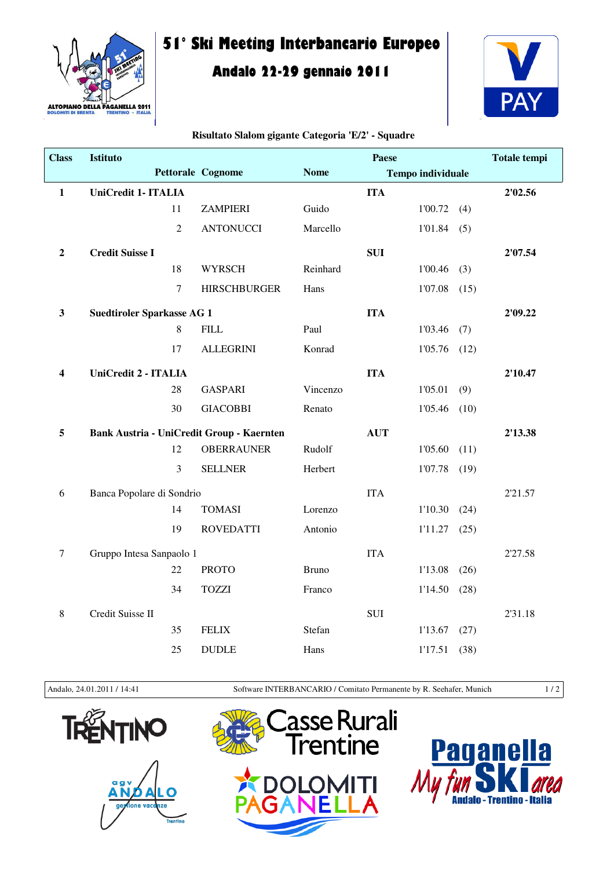

## **51° Ski Meeting Interbancario Europeo**

## **Andalo 22-29 gennaio 2011**



| <b>Class</b>     | <b>Istituto</b>                           |                |                          |              | Paese      |                          |      | <b>Totale tempi</b> |
|------------------|-------------------------------------------|----------------|--------------------------|--------------|------------|--------------------------|------|---------------------|
|                  |                                           |                | <b>Pettorale Cognome</b> | <b>Nome</b>  |            | <b>Tempo individuale</b> |      |                     |
| $\mathbf{1}$     | UniCredit 1- ITALIA                       |                |                          |              | <b>ITA</b> |                          |      | 2'02.56             |
|                  |                                           | 11             | <b>ZAMPIERI</b>          | Guido        |            | 1'00.72                  | (4)  |                     |
|                  |                                           | $\overline{2}$ | <b>ANTONUCCI</b>         | Marcello     |            | 1'01.84                  | (5)  |                     |
| $\boldsymbol{2}$ | <b>Credit Suisse I</b>                    |                |                          |              | <b>SUI</b> |                          |      | 2'07.54             |
|                  |                                           | 18             | <b>WYRSCH</b>            | Reinhard     |            | 1'00.46                  | (3)  |                     |
|                  |                                           | $\overline{7}$ | <b>HIRSCHBURGER</b>      | Hans         |            | 1'07.08                  | (15) |                     |
| $\mathbf{3}$     | <b>Suedtiroler Sparkasse AG 1</b>         |                |                          |              | <b>ITA</b> |                          |      | 2'09.22             |
|                  |                                           | $\,8\,$        | <b>FILL</b>              | Paul         |            | 1'03.46                  | (7)  |                     |
|                  |                                           | 17             | <b>ALLEGRINI</b>         | Konrad       |            | 1'05.76                  | (12) |                     |
| 4                | UniCredit 2 - ITALIA                      |                |                          |              | <b>ITA</b> |                          |      | 2'10.47             |
|                  |                                           | 28             | <b>GASPARI</b>           | Vincenzo     |            | 1'05.01                  | (9)  |                     |
|                  |                                           | 30             | <b>GIACOBBI</b>          | Renato       |            | 1'05.46                  | (10) |                     |
| 5                | Bank Austria - UniCredit Group - Kaernten |                |                          |              | <b>AUT</b> |                          |      | 2'13.38             |
|                  |                                           | 12             | <b>OBERRAUNER</b>        | Rudolf       |            | 1'05.60                  | (11) |                     |
|                  |                                           | 3              | <b>SELLNER</b>           | Herbert      |            | 1'07.78                  | (19) |                     |
| 6                | Banca Popolare di Sondrio                 |                |                          |              | <b>ITA</b> |                          |      | 2'21.57             |
|                  |                                           | 14             | <b>TOMASI</b>            | Lorenzo      |            | 1'10.30                  | (24) |                     |
|                  |                                           | 19             | <b>ROVEDATTI</b>         | Antonio      |            | 1'11.27                  | (25) |                     |
| $\tau$           | Gruppo Intesa Sanpaolo 1                  |                |                          |              | <b>ITA</b> |                          |      | 2'27.58             |
|                  |                                           | 22             | <b>PROTO</b>             | <b>Bruno</b> |            | 1'13.08                  | (26) |                     |
|                  |                                           | 34             | <b>TOZZI</b>             | Franco       |            | 1'14.50                  | (28) |                     |
| 8                | Credit Suisse II                          |                |                          |              | <b>SUI</b> |                          |      | 2'31.18             |
|                  |                                           | 35             | <b>FELIX</b>             | Stefan       |            | 1'13.67                  | (27) |                     |
|                  |                                           | 25             | <b>DUDLE</b>             | Hans         |            | 1'17.51                  | (38) |                     |

## **Risultato Slalom gigante Categoria 'E/2' - Squadre**

Andalo, 24.01.2011 / 14:41 Software INTERBANCARIO / Comitato Permanente by R. Seehafer, Munich 1 / 2